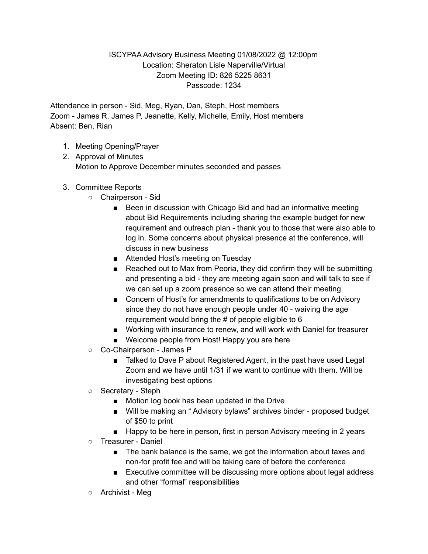## ISCYPAA Advisory Business Meeting 01/08/2022 @ 12:00pm Location: Sheraton Lisle Naperville/Virtual Zoom Meeting ID: 826 5225 8631 Passcode: 1234

Attendance in person - Sid, Meg, Ryan, Dan, Steph, Host members Zoom - James R, James P, Jeanette, Kelly, Michelle, Emily, Host members Absent: Ben, Rian

- 1. Meeting Opening/Prayer
- 2. Approval of Minutes Motion to Approve December minutes seconded and passes
- 3. Committee Reports
	- Chairperson Sid
		- Been in discussion with Chicago Bid and had an informative meeting about Bid Requirements including sharing the example budget for new requirement and outreach plan - thank you to those that were also able to log in. Some concerns about physical presence at the conference, will discuss in new business
		- Attended Host's meeting on Tuesday
		- Reached out to Max from Peoria, they did confirm they will be submitting and presenting a bid - they are meeting again soon and will talk to see if we can set up a zoom presence so we can attend their meeting
		- Concern of Host's for amendments to qualifications to be on Advisory since they do not have enough people under 40 - waiving the age requirement would bring the # of people eligible to 6
		- Working with insurance to renew, and will work with Daniel for treasurer
		- Welcome people from Host! Happy you are here
	- Co-Chairperson James P
		- Talked to Dave P about Registered Agent, in the past have used Legal Zoom and we have until 1/31 if we want to continue with them. Will be investigating best options
	- Secretary Steph
		- Motion log book has been updated in the Drive
		- Will be making an "Advisory bylaws" archives binder proposed budget of \$50 to print
		- Happy to be here in person, first in person Advisory meeting in 2 years
	- Treasurer Daniel
		- The bank balance is the same, we got the information about taxes and non-for profit fee and will be taking care of before the conference
		- Executive committee will be discussing more options about legal address and other "formal" responsibilities
	- Archivist Meg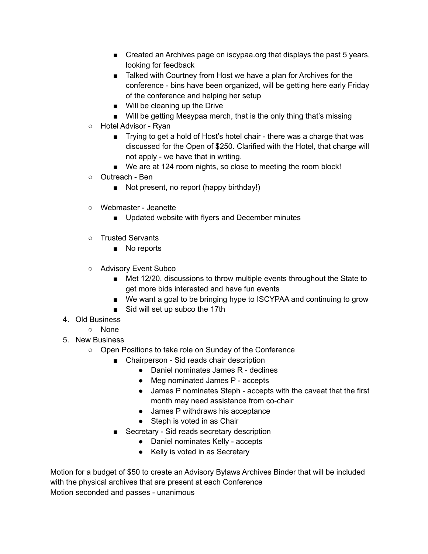- Created an Archives page on iscypaa.org that displays the past 5 years, looking for feedback
- Talked with Courtney from Host we have a plan for Archives for the conference - bins have been organized, will be getting here early Friday of the conference and helping her setup
- Will be cleaning up the Drive
- Will be getting Mesypaa merch, that is the only thing that's missing
- Hotel Advisor Ryan
	- Trying to get a hold of Host's hotel chair there was a charge that was discussed for the Open of \$250. Clarified with the Hotel, that charge will not apply - we have that in writing.
	- We are at 124 room nights, so close to meeting the room block!
- Outreach Ben
	- Not present, no report (happy birthday!)
- Webmaster Jeanette
	- Updated website with flyers and December minutes
- Trusted Servants
	- No reports
- Advisory Event Subco
	- Met 12/20, discussions to throw multiple events throughout the State to get more bids interested and have fun events
	- We want a goal to be bringing hype to ISCYPAA and continuing to grow
	- Sid will set up subco the 17th
- 4. Old Business
	- None
- 5. New Business
	- Open Positions to take role on Sunday of the Conference
		- Chairperson Sid reads chair description
			- Daniel nominates James R declines
			- Meg nominated James P accepts
			- James P nominates Steph accepts with the caveat that the first month may need assistance from co-chair
			- James P withdraws his acceptance
			- Steph is voted in as Chair
		- Secretary Sid reads secretary description
			- Daniel nominates Kelly accepts
			- Kelly is voted in as Secretary

Motion for a budget of \$50 to create an Advisory Bylaws Archives Binder that will be included with the physical archives that are present at each Conference Motion seconded and passes - unanimous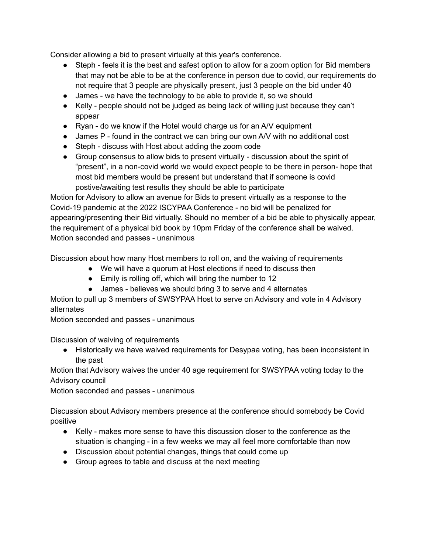Consider allowing a bid to present virtually at this year's conference.

- Steph feels it is the best and safest option to allow for a zoom option for Bid members that may not be able to be at the conference in person due to covid, our requirements do not require that 3 people are physically present, just 3 people on the bid under 40
- James we have the technology to be able to provide it, so we should
- Kelly people should not be judged as being lack of willing just because they can't appear
- Ryan do we know if the Hotel would charge us for an A/V equipment
- James P found in the contract we can bring our own A/V with no additional cost
- Steph discuss with Host about adding the zoom code
- Group consensus to allow bids to present virtually discussion about the spirit of "present", in a non-covid world we would expect people to be there in person- hope that most bid members would be present but understand that if someone is covid postive/awaiting test results they should be able to participate

Motion for Advisory to allow an avenue for Bids to present virtually as a response to the Covid-19 pandemic at the 2022 ISCYPAA Conference - no bid will be penalized for appearing/presenting their Bid virtually. Should no member of a bid be able to physically appear, the requirement of a physical bid book by 10pm Friday of the conference shall be waived. Motion seconded and passes - unanimous

Discussion about how many Host members to roll on, and the waiving of requirements

- We will have a quorum at Host elections if need to discuss then
- Emily is rolling off, which will bring the number to 12
- James believes we should bring 3 to serve and 4 alternates

Motion to pull up 3 members of SWSYPAA Host to serve on Advisory and vote in 4 Advisory alternates

Motion seconded and passes - unanimous

Discussion of waiving of requirements

● Historically we have waived requirements for Desypaa voting, has been inconsistent in the past

Motion that Advisory waives the under 40 age requirement for SWSYPAA voting today to the Advisory council

Motion seconded and passes - unanimous

Discussion about Advisory members presence at the conference should somebody be Covid positive

- Kelly makes more sense to have this discussion closer to the conference as the situation is changing - in a few weeks we may all feel more comfortable than now
- Discussion about potential changes, things that could come up
- Group agrees to table and discuss at the next meeting